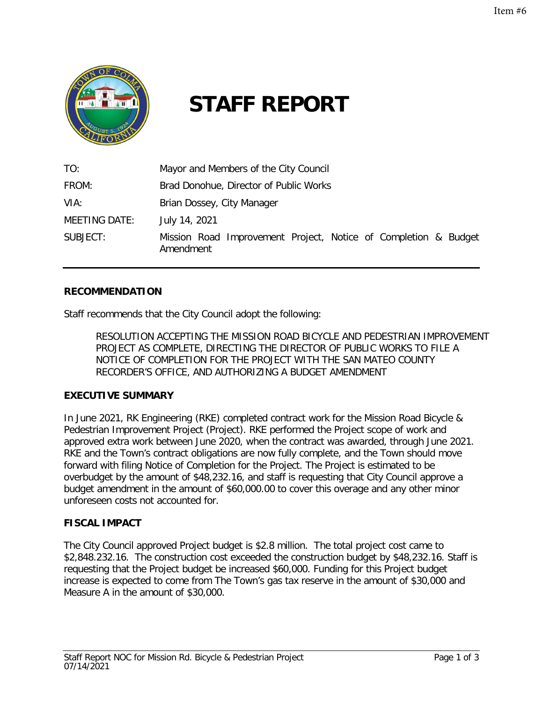

# **STAFF REPORT**

| TO:           | Mayor and Members of the City Council                                        |  |  |  |  |  |  |
|---------------|------------------------------------------------------------------------------|--|--|--|--|--|--|
| FROM:         | Brad Donohue, Director of Public Works                                       |  |  |  |  |  |  |
| VIA:          | Brian Dossey, City Manager                                                   |  |  |  |  |  |  |
| MEETING DATE: | July 14, 2021                                                                |  |  |  |  |  |  |
| SUBJECT:      | Mission Road Improvement Project, Notice of Completion & Budget<br>Amendment |  |  |  |  |  |  |

### **RECOMMENDATION**

Staff recommends that the City Council adopt the following:

RESOLUTION ACCEPTING THE MISSION ROAD BICYCLE AND PEDESTRIAN IMPROVEMENT PROJECT AS COMPLETE, DIRECTING THE DIRECTOR OF PUBLIC WORKS TO FILE A NOTICE OF COMPLETION FOR THE PROJECT WITH THE SAN MATEO COUNTY RECORDER'S OFFICE, AND AUTHORIZING A BUDGET AMENDMENT

#### **EXECUTIVE SUMMARY**

In June 2021, RK Engineering (RKE) completed contract work for the Mission Road Bicycle & Pedestrian Improvement Project (Project). RKE performed the Project scope of work and approved extra work between June 2020, when the contract was awarded, through June 2021. RKE and the Town's contract obligations are now fully complete, and the Town should move forward with filing Notice of Completion for the Project. The Project is estimated to be overbudget by the amount of \$48,232.16, and staff is requesting that City Council approve a budget amendment in the amount of \$60,000.00 to cover this overage and any other minor unforeseen costs not accounted for.

#### **FISCAL IMPACT**

The City Council approved Project budget is \$2.8 million. The total project cost came to \$2,848.232.16. The construction cost exceeded the construction budget by \$48,232.16. Staff is requesting that the Project budget be increased \$60,000. Funding for this Project budget increase is expected to come from The Town's gas tax reserve in the amount of \$30,000 and Measure A in the amount of \$30,000.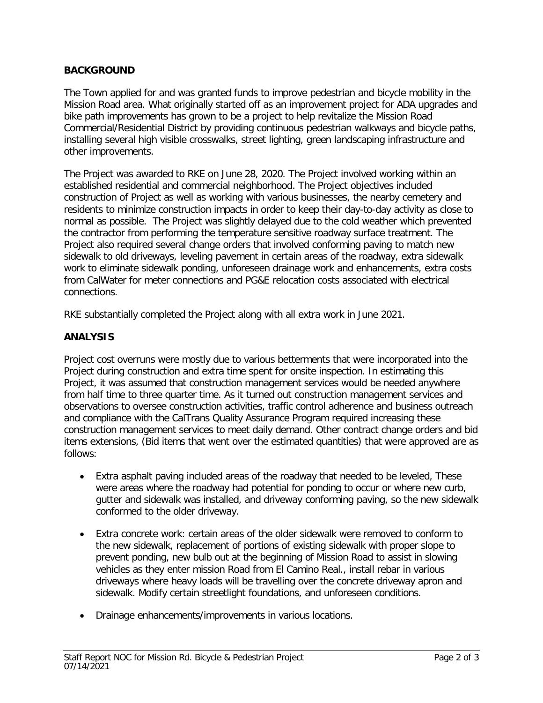### **BACKGROUND**

The Town applied for and was granted funds to improve pedestrian and bicycle mobility in the Mission Road area. What originally started off as an improvement project for ADA upgrades and bike path improvements has grown to be a project to help revitalize the Mission Road Commercial/Residential District by providing continuous pedestrian walkways and bicycle paths, installing several high visible crosswalks, street lighting, green landscaping infrastructure and other improvements.

The Project was awarded to RKE on June 28, 2020. The Project involved working within an established residential and commercial neighborhood. The Project objectives included construction of Project as well as working with various businesses, the nearby cemetery and residents to minimize construction impacts in order to keep their day-to-day activity as close to normal as possible. The Project was slightly delayed due to the cold weather which prevented the contractor from performing the temperature sensitive roadway surface treatment. The Project also required several change orders that involved conforming paving to match new sidewalk to old driveways, leveling pavement in certain areas of the roadway, extra sidewalk work to eliminate sidewalk ponding, unforeseen drainage work and enhancements, extra costs from CalWater for meter connections and PG&E relocation costs associated with electrical connections.

RKE substantially completed the Project along with all extra work in June 2021.

### **ANALYSIS**

Project cost overruns were mostly due to various betterments that were incorporated into the Project during construction and extra time spent for onsite inspection. In estimating this Project, it was assumed that construction management services would be needed anywhere from half time to three quarter time. As it turned out construction management services and observations to oversee construction activities, traffic control adherence and business outreach and compliance with the CalTrans Quality Assurance Program required increasing these construction management services to meet daily demand. Other contract change orders and bid items extensions, (Bid items that went over the estimated quantities) that were approved are as follows:

- Extra asphalt paving included areas of the roadway that needed to be leveled, These were areas where the roadway had potential for ponding to occur or where new curb, gutter and sidewalk was installed, and driveway conforming paving, so the new sidewalk conformed to the older driveway.
- Extra concrete work: certain areas of the older sidewalk were removed to conform to the new sidewalk, replacement of portions of existing sidewalk with proper slope to prevent ponding, new bulb out at the beginning of Mission Road to assist in slowing vehicles as they enter mission Road from El Camino Real., install rebar in various driveways where heavy loads will be travelling over the concrete driveway apron and sidewalk. Modify certain streetlight foundations, and unforeseen conditions.
- Drainage enhancements/improvements in various locations.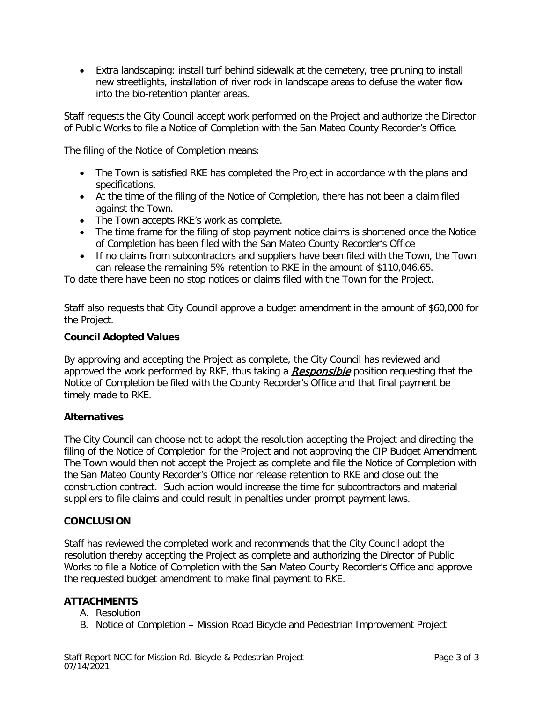• Extra landscaping: install turf behind sidewalk at the cemetery, tree pruning to install new streetlights, installation of river rock in landscape areas to defuse the water flow into the bio-retention planter areas.

Staff requests the City Council accept work performed on the Project and authorize the Director of Public Works to file a Notice of Completion with the San Mateo County Recorder's Office.

The filing of the Notice of Completion means:

- The Town is satisfied RKE has completed the Project in accordance with the plans and specifications.
- At the time of the filing of the Notice of Completion, there has not been a claim filed against the Town.
- The Town accepts RKE's work as complete.
- The time frame for the filing of stop payment notice claims is shortened once the Notice of Completion has been filed with the San Mateo County Recorder's Office
- If no claims from subcontractors and suppliers have been filed with the Town, the Town can release the remaining 5% retention to RKE in the amount of \$110,046.65.

To date there have been no stop notices or claims filed with the Town for the Project.

Staff also requests that City Council approve a budget amendment in the amount of \$60,000 for the Project.

### **Council Adopted Values**

By approving and accepting the Project as complete, the City Council has reviewed and approved the work performed by RKE, thus taking a *Responsible* position requesting that the Notice of Completion be filed with the County Recorder's Office and that final payment be timely made to RKE.

## **Alternatives**

The City Council can choose not to adopt the resolution accepting the Project and directing the filing of the Notice of Completion for the Project and not approving the CIP Budget Amendment. The Town would then not accept the Project as complete and file the Notice of Completion with the San Mateo County Recorder's Office nor release retention to RKE and close out the construction contract. Such action would increase the time for subcontractors and material suppliers to file claims and could result in penalties under prompt payment laws.

#### **CONCLUSION**

Staff has reviewed the completed work and recommends that the City Council adopt the resolution thereby accepting the Project as complete and authorizing the Director of Public Works to file a Notice of Completion with the San Mateo County Recorder's Office and approve the requested budget amendment to make final payment to RKE.

#### **ATTACHMENTS**

- A. Resolution
- B. Notice of Completion Mission Road Bicycle and Pedestrian Improvement Project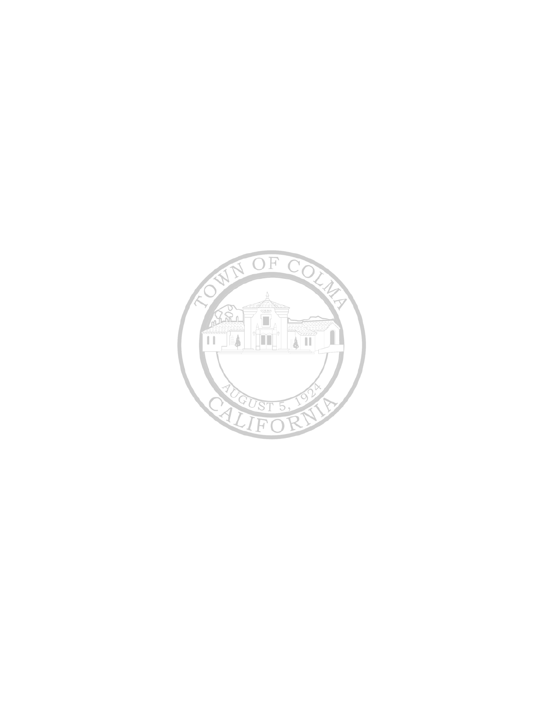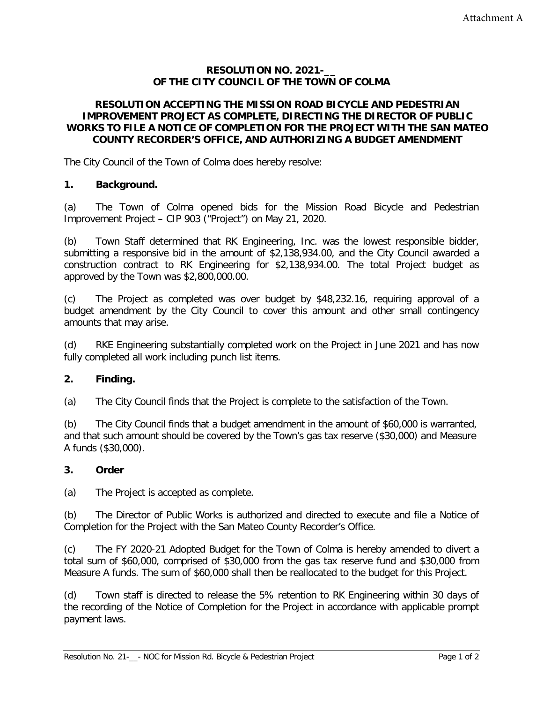#### **RESOLUTION NO. 2021-\_\_ OF THE CITY COUNCIL OF THE TOWN OF COLMA**

#### **RESOLUTION ACCEPTING THE MISSION ROAD BICYCLE AND PEDESTRIAN IMPROVEMENT PROJECT AS COMPLETE, DIRECTING THE DIRECTOR OF PUBLIC WORKS TO FILE A NOTICE OF COMPLETION FOR THE PROJECT WITH THE SAN MATEO COUNTY RECORDER'S OFFICE, AND AUTHORIZING A BUDGET AMENDMENT**

The City Council of the Town of Colma does hereby resolve:

#### **1. Background.**

(a) The Town of Colma opened bids for the Mission Road Bicycle and Pedestrian Improvement Project – CIP 903 ("Project") on May 21, 2020.

(b) Town Staff determined that RK Engineering, Inc. was the lowest responsible bidder, submitting a responsive bid in the amount of \$2,138,934.00, and the City Council awarded a construction contract to RK Engineering for \$2,138,934.00. The total Project budget as approved by the Town was \$2,800,000.00.

(c) The Project as completed was over budget by \$48,232.16, requiring approval of a budget amendment by the City Council to cover this amount and other small contingency amounts that may arise.

(d) RKE Engineering substantially completed work on the Project in June 2021 and has now fully completed all work including punch list items.

#### **2. Finding.**

(a) The City Council finds that the Project is complete to the satisfaction of the Town.

(b) The City Council finds that a budget amendment in the amount of \$60,000 is warranted, and that such amount should be covered by the Town's gas tax reserve (\$30,000) and Measure A funds (\$30,000).

#### **3. Order**

(a) The Project is accepted as complete.

(b) The Director of Public Works is authorized and directed to execute and file a Notice of Completion for the Project with the San Mateo County Recorder's Office.

(c) The FY 2020-21 Adopted Budget for the Town of Colma is hereby amended to divert a total sum of \$60,000, comprised of \$30,000 from the gas tax reserve fund and \$30,000 from Measure A funds. The sum of \$60,000 shall then be reallocated to the budget for this Project.

(d) Town staff is directed to release the 5% retention to RK Engineering within 30 days of the recording of the Notice of Completion for the Project in accordance with applicable prompt payment laws.